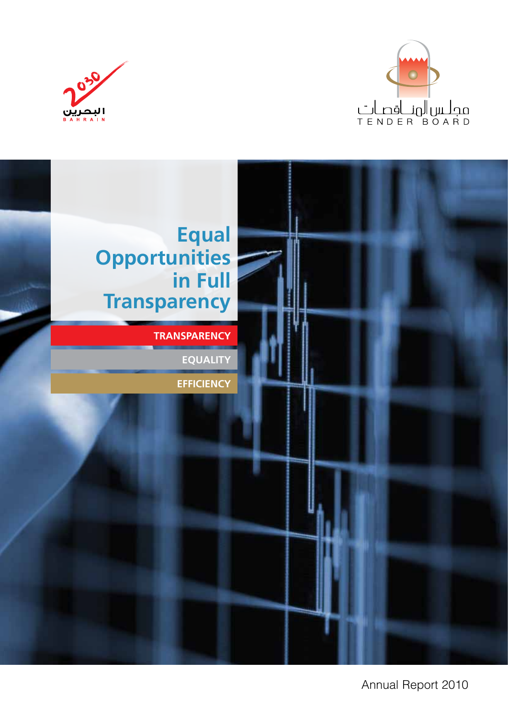





Annual Report 2010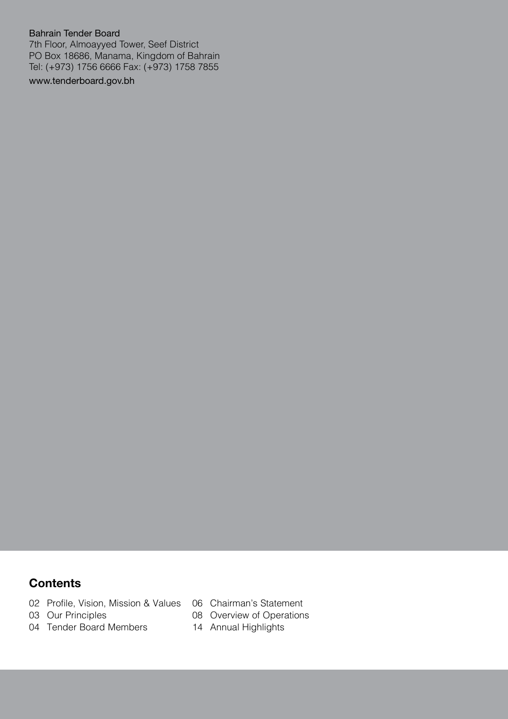#### Bahrain Tender Board

7th Floor, Almoayyed Tower, Seef District PO Box 18686, Manama, Kingdom of Bahrain Tel: (+973) 1756 6666 Fax: (+973) 1758 7855

www.tenderboard.gov.bh

### **Contents**

- 02 Profile, Vision, Mission & Values
- 03 Our Principles
- 04 Tender Board Members
- 06 Chairman's Statement
- 08 Overview of Operations
- 14 Annual Highlights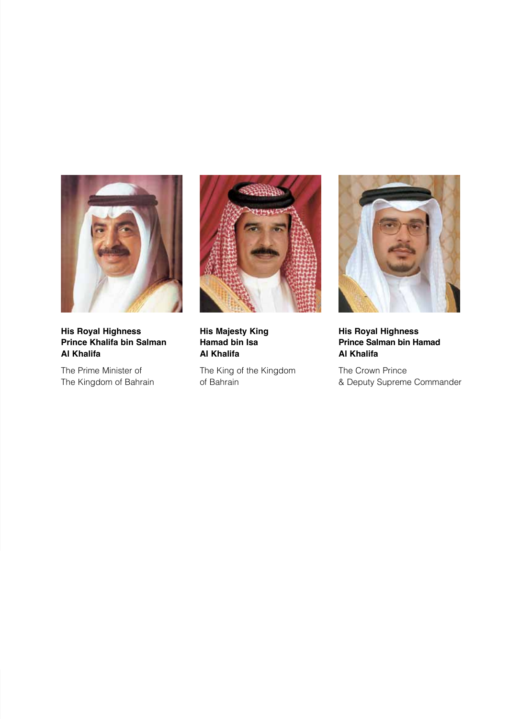

**His Royal Highness Prince Khalifa bin Salman Al Khalifa**

The Prime Minister of The Kingdom of Bahrain



**His Majesty King Hamad bin Isa Al Khalifa**

The King of the Kingdom of Bahrain



**His Royal Highness Prince Salman bin Hamad Al Khalifa**

The Crown Prince & Deputy Supreme Commander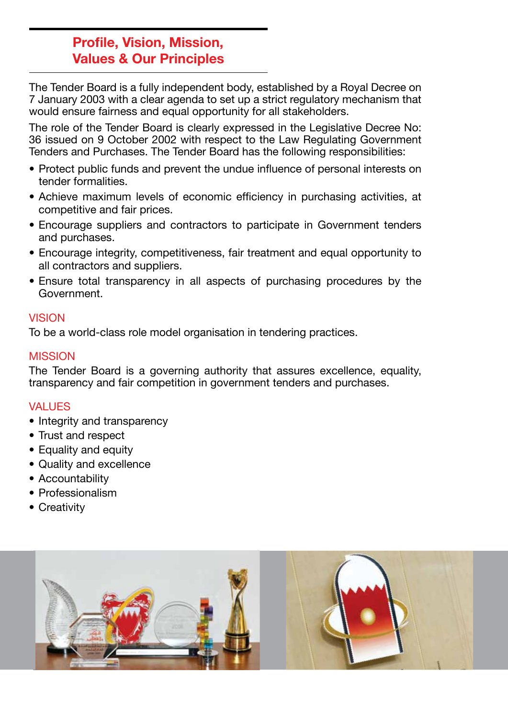## **Profile, Vision, Mission, Values & Our Principles**

The Tender Board is a fully independent body, established by a Royal Decree on 7 January 2003 with a clear agenda to set up a strict regulatory mechanism that would ensure fairness and equal opportunity for all stakeholders.

The role of the Tender Board is clearly expressed in the Legislative Decree No: 36 issued on 9 October 2002 with respect to the Law Regulating Government Tenders and Purchases. The Tender Board has the following responsibilities:

- Protect public funds and prevent the undue influence of personal interests on tender formalities.
- Achieve maximum levels of economic efficiency in purchasing activities, at competitive and fair prices.
- Encourage suppliers and contractors to participate in Government tenders and purchases.
- Encourage integrity, competitiveness, fair treatment and equal opportunity to all contractors and suppliers.
- Ensure total transparency in all aspects of purchasing procedures by the Government.

#### VISION

To be a world-class role model organisation in tendering practices.

### **MISSION**

The Tender Board is a governing authority that assures excellence, equality, transparency and fair competition in government tenders and purchases.

#### VALUES

- Integrity and transparency
- Trust and respect
- Equality and equity
- • Quality and excellence
- Accountability
- Professionalism
- Creativity

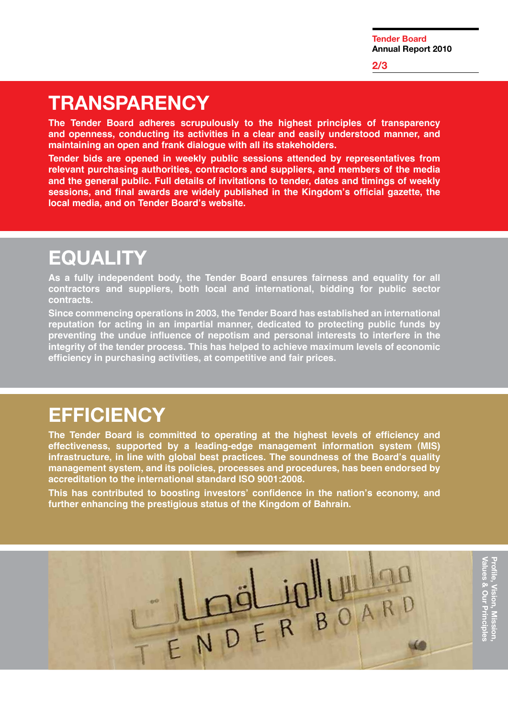## **Transparency**

**The Tender Board adheres scrupulously to the highest principles of transparency and openness, conducting its activities in a clear and easily understood manner, and maintaining an open and frank dialogue with all its stakeholders.** 

**Tender bids are opened in weekly public sessions attended by representatives from relevant purchasing authorities, contractors and suppliers, and members of the media and the general public. Full details of invitations to tender, dates and timings of weekly sessions, and final awards are widely published in the Kingdom's official gazette, the local media, and on Tender Board's website.**

# **Equality**

**As a fully independent body, the Tender Board ensures fairness and equality for all contractors and suppliers, both local and international, bidding for public sector contracts.** 

**Since commencing operations in 2003, the Tender Board has established an international reputation for acting in an impartial manner, dedicated to protecting public funds by preventing the undue influence of nepotism and personal interests to interfere in the integrity of the tender process. This has helped to achieve maximum levels of economic efficiency in purchasing activities, at competitive and fair prices.**

## **Efficiency**

**The Tender Board is committed to operating at the highest levels of efficiency and effectiveness, supported by a leading-edge management information system (MIS) infrastructure, in line with global best practices. The soundness of the Board's quality management system, and its policies, processes and procedures, has been endorsed by accreditation to the international standard ISO 9001:2008.** 

**This has contributed to boosting investors' confidence in the nation's economy, and further enhancing the prestigious status of the Kingdom of Bahrain.**

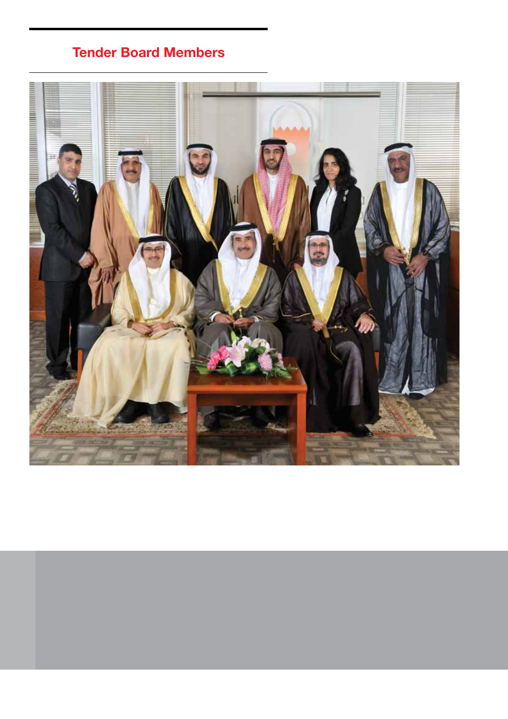## **Tender Board Members**

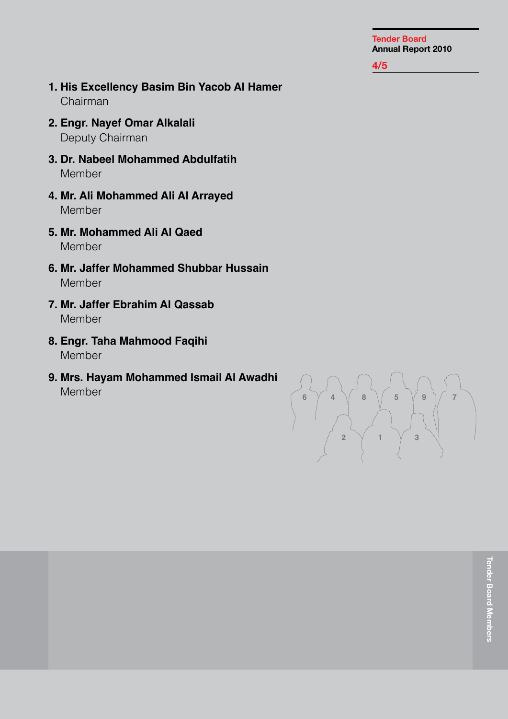#### **5/5 4/5**

- **1. His Excellency Basim Bin Yacob Al Hamer** Chairman
- **2. Engr. Nayef Omar Alkalali** Deputy Chairman
- **3. Dr. Nabeel Mohammed Abdulfatih Member**
- **4. Mr. Ali Mohammed Ali Al Arrayed** Member
- **5. Mr. Mohammed Ali Al Qaed** Member
- **6. Mr. Jaffer Mohammed Shubbar Hussain** Member
- **7. Mr. Jaffer Ebrahim Al Qassab** Member
- **8. Engr. Taha Mahmood Faqihi** Member
- **9. Mrs. Hayam Mohammed Ismail Al Awadhi** Member

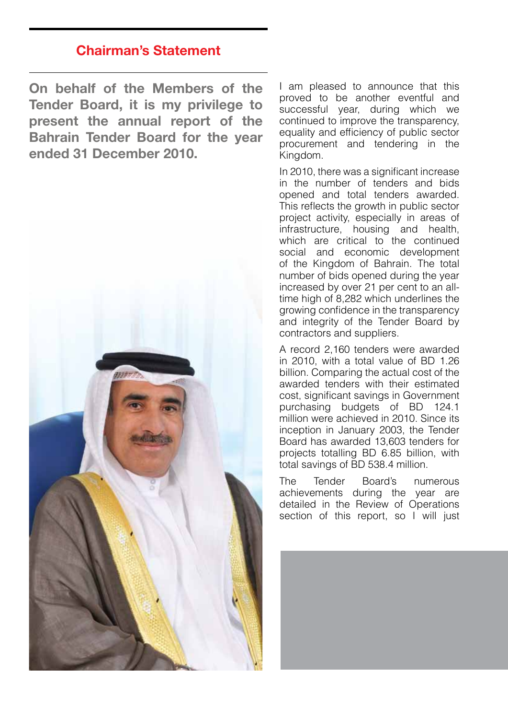## **Chairman's Statement**

**On behalf of the Members of the Tender Board, it is my privilege to present the annual report of the Bahrain Tender Board for the year ended 31 December 2010.** 



I am pleased to announce that this proved to be another eventful and successful year, during which we continued to improve the transparency, equality and efficiency of public sector procurement and tendering in the Kingdom.

In 2010, there was a significant increase in the number of tenders and bids opened and total tenders awarded. This reflects the growth in public sector project activity, especially in areas of infrastructure, housing and health, which are critical to the continued social and economic development of the Kingdom of Bahrain. The total number of bids opened during the year increased by over 21 per cent to an alltime high of 8,282 which underlines the growing confidence in the transparency and integrity of the Tender Board by contractors and suppliers.

A record 2,160 tenders were awarded in 2010, with a total value of BD 1.26 billion. Comparing the actual cost of the awarded tenders with their estimated cost, significant savings in Government purchasing budgets of BD 124.1 million were achieved in 2010. Since its inception in January 2003, the Tender Board has awarded 13,603 tenders for projects totalling BD 6.85 billion, with total savings of BD 538.4 million.

The Tender Board's numerous achievements during the year are detailed in the Review of Operations section of this report, so I will just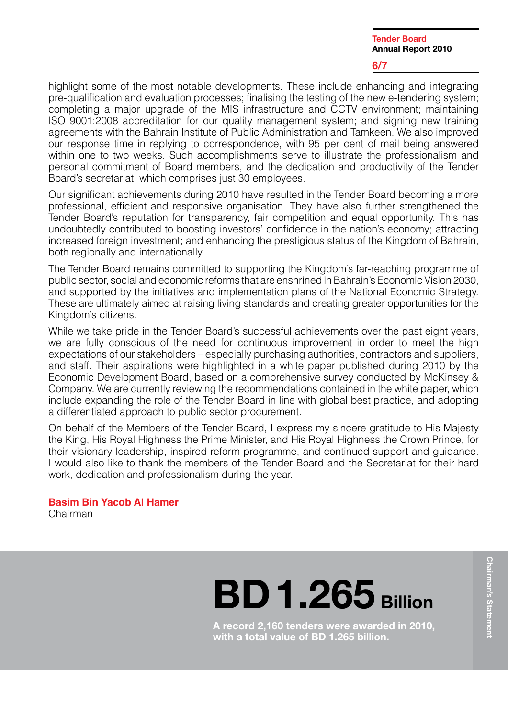#### **6/7**

highlight some of the most notable developments. These include enhancing and integrating pre-qualification and evaluation processes; finalising the testing of the new e-tendering system; completing a major upgrade of the MIS infrastructure and CCTV environment; maintaining ISO 9001:2008 accreditation for our quality management system; and signing new training agreements with the Bahrain Institute of Public Administration and Tamkeen. We also improved our response time in replying to correspondence, with 95 per cent of mail being answered within one to two weeks. Such accomplishments serve to illustrate the professionalism and personal commitment of Board members, and the dedication and productivity of the Tender Board's secretariat, which comprises just 30 employees.

Our significant achievements during 2010 have resulted in the Tender Board becoming a more professional, efficient and responsive organisation. They have also further strengthened the Tender Board's reputation for transparency, fair competition and equal opportunity. This has undoubtedly contributed to boosting investors' confidence in the nation's economy; attracting increased foreign investment; and enhancing the prestigious status of the Kingdom of Bahrain, both regionally and internationally.

The Tender Board remains committed to supporting the Kingdom's far-reaching programme of public sector, social and economic reforms that are enshrined in Bahrain's Economic Vision 2030, and supported by the initiatives and implementation plans of the National Economic Strategy. These are ultimately aimed at raising living standards and creating greater opportunities for the Kingdom's citizens.

While we take pride in the Tender Board's successful achievements over the past eight years, we are fully conscious of the need for continuous improvement in order to meet the high expectations of our stakeholders – especially purchasing authorities, contractors and suppliers, and staff. Their aspirations were highlighted in a white paper published during 2010 by the Economic Development Board, based on a comprehensive survey conducted by McKinsey & Company. We are currently reviewing the recommendations contained in the white paper, which include expanding the role of the Tender Board in line with global best practice, and adopting a differentiated approach to public sector procurement.

On behalf of the Members of the Tender Board, I express my sincere gratitude to His Majesty the King, His Royal Highness the Prime Minister, and His Royal Highness the Crown Prince, for their visionary leadership, inspired reform programme, and continued support and guidance. I would also like to thank the members of the Tender Board and the Secretariat for their hard work, dedication and professionalism during the year.

**Basim Bin Yacob Al Hamer** Chairman

**BD 1.265 Billion** 

**A record 2,160 tenders were awarded in 2010, with a total value of BD 1.265 billion.**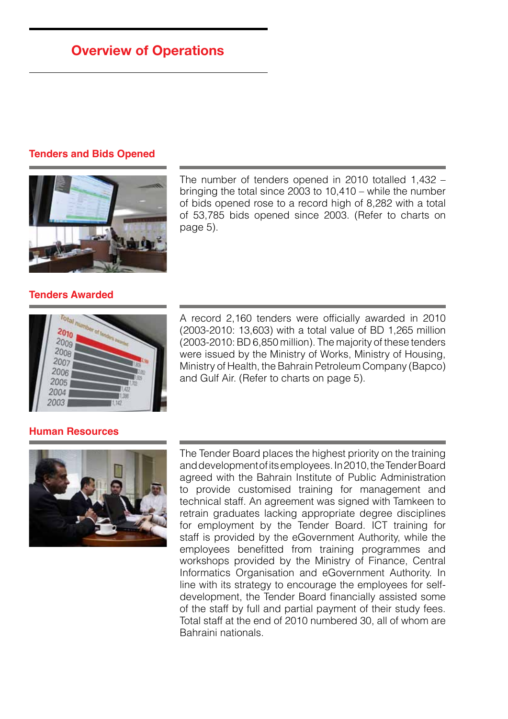## **Overview of Operations**

#### **Tenders and Bids Opened**



The number of tenders opened in 2010 totalled 1,432 – bringing the total since 2003 to 10,410 – while the number of bids opened rose to a record high of 8,282 with a total of 53,785 bids opened since 2003. (Refer to charts on page 5).

#### **Tenders Awarded**



A record 2,160 tenders were officially awarded in 2010 (2003-2010: 13,603) with a total value of BD 1,265 million (2003-2010: BD 6,850 million). The majority of these tenders were issued by the Ministry of Works, Ministry of Housing, Ministry of Health, the Bahrain Petroleum Company (Bapco) and Gulf Air. (Refer to charts on page 5).

#### **Human Resources**



The Tender Board places the highest priority on the training and development of its employees. In 2010, the Tender Board agreed with the Bahrain Institute of Public Administration to provide customised training for management and technical staff. An agreement was signed with Tamkeen to retrain graduates lacking appropriate degree disciplines for employment by the Tender Board. ICT training for staff is provided by the eGovernment Authority, while the employees benefitted from training programmes and workshops provided by the Ministry of Finance, Central Informatics Organisation and eGovernment Authority. In line with its strategy to encourage the employees for selfdevelopment, the Tender Board financially assisted some of the staff by full and partial payment of their study fees. Total staff at the end of 2010 numbered 30, all of whom are Bahraini nationals.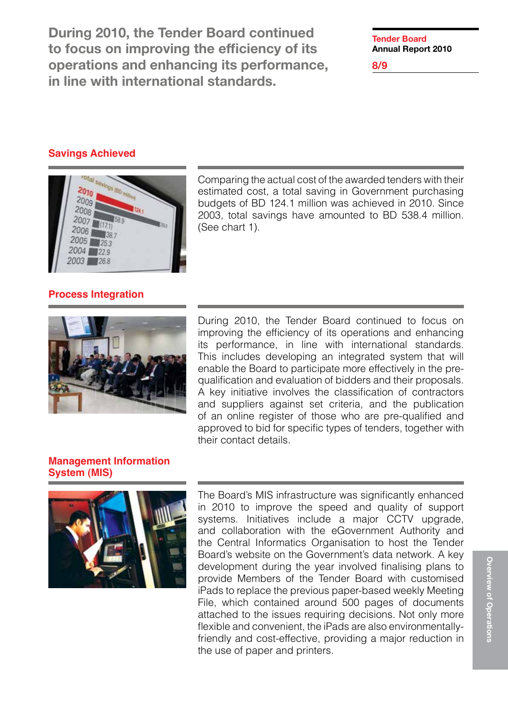During 2010, the Tender Board continued to focus on improving the efficiency of its operations and enhancing its performance, in line with international standards.

**Tender Board Annual Report 2010**

**8/9**

#### **Savings Achieved**



Comparing the actual cost of the awarded tenders with their estimated cost, a total saving in Government purchasing budgets of BD 124.1 million was achieved in 2010. Since 2003, total savings have amounted to BD 538.4 million. (See chart 1).

#### **Process Integration**



During 2010, the Tender Board continued to focus on improving the efficiency of its operations and enhancing its performance, in line with international standards. This includes developing an integrated system that will enable the Board to participate more effectively in the prequalification and evaluation of bidders and their proposals. A key initiative involves the classification of contractors and suppliers against set criteria, and the publication of an online register of those who are pre-qualified and approved to bid for specific types of tenders, together with their contact details.

#### **Management Information System (MIS)**



The Board's MIS infrastructure was significantly enhanced in 2010 to improve the speed and quality of support systems. Initiatives include a major CCTV upgrade, and collaboration with the eGovernment Authority and the Central Informatics Organisation to host the Tender Board's website on the Government's data network. A key development during the year involved finalising plans to provide Members of the Tender Board with customised iPads to replace the previous paper-based weekly Meeting File, which contained around 500 pages of documents attached to the issues requiring decisions. Not only more flexible and convenient, the iPads are also environmentallyfriendly and cost-effective, providing a major reduction in the use of paper and printers.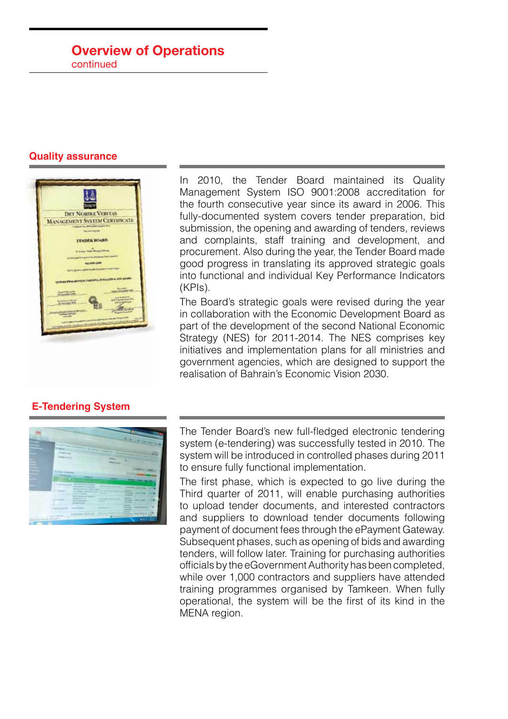#### **Overview of Operations** continued



#### **E-Tendering System**



In 2010, the Tender Board maintained its Quality Management System ISO 9001:2008 accreditation for the fourth consecutive year since its award in 2006. This fully-documented system covers tender preparation, bid submission, the opening and awarding of tenders, reviews and complaints, staff training and development, and procurement. Also during the year, the Tender Board made good progress in translating its approved strategic goals into functional and individual Key Performance Indicators (KPIs).

The Board's strategic goals were revised during the year in collaboration with the Economic Development Board as part of the development of the second National Economic Strategy (NES) for 2011-2014. The NES comprises key initiatives and implementation plans for all ministries and government agencies, which are designed to support the realisation of Bahrain's Economic Vision 2030.

The Tender Board's new full-fledged electronic tendering system (e-tendering) was successfully tested in 2010. The system will be introduced in controlled phases during 2011 to ensure fully functional implementation.

The first phase, which is expected to go live during the Third quarter of 2011, will enable purchasing authorities to upload tender documents, and interested contractors and suppliers to download tender documents following payment of document fees through the ePayment Gateway. Subsequent phases, such as opening of bids and awarding tenders, will follow later. Training for purchasing authorities officials by the eGovernment Authority has been completed, while over 1,000 contractors and suppliers have attended training programmes organised by Tamkeen. When fully operational, the system will be the first of its kind in the MENA region.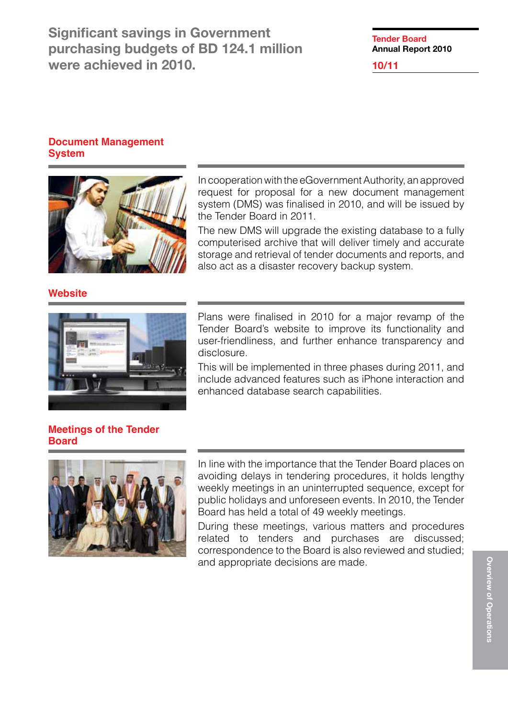Significant savings in Government purchasing budgets of BD 124.1 million were achieved in 2010.

**Tender Board Annual Report 2010**

**10/11**

#### **Document Management System**



In cooperation with the eGovernment Authority, an approved request for proposal for a new document management system (DMS) was finalised in 2010, and will be issued by the Tender Board in 2011.

The new DMS will upgrade the existing database to a fully computerised archive that will deliver timely and accurate storage and retrieval of tender documents and reports, and also act as a disaster recovery backup system.

#### **Website**



Plans were finalised in 2010 for a major revamp of the Tender Board's website to improve its functionality and user-friendliness, and further enhance transparency and disclosure.

This will be implemented in three phases during 2011, and include advanced features such as iPhone interaction and enhanced database search capabilities.

#### **Meetings of the Tender Board**



In line with the importance that the Tender Board places on avoiding delays in tendering procedures, it holds lengthy weekly meetings in an uninterrupted sequence, except for public holidays and unforeseen events. In 2010, the Tender Board has held a total of 49 weekly meetings.

During these meetings, various matters and procedures related to tenders and purchases are discussed; correspondence to the Board is also reviewed and studied; and appropriate decisions are made.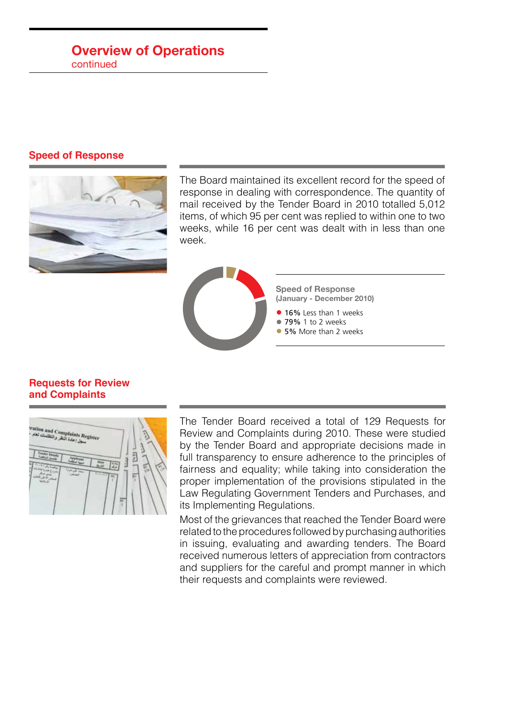## **Overview of Operations**

continued

#### **Speed of Response**



The Board maintained its excellent record for the speed of response in dealing with correspondence. The quantity of mail received by the Tender Board in 2010 totalled 5,012 items, of which 95 per cent was replied to within one to two weeks, while 16 per cent was dealt with in less than one week.



#### **Requests for Review and Complaints**



The Tender Board received a total of 129 Requests for Review and Complaints during 2010. These were studied by the Tender Board and appropriate decisions made in full transparency to ensure adherence to the principles of fairness and equality; while taking into consideration the proper implementation of the provisions stipulated in the Law Regulating Government Tenders and Purchases, and its Implementing Regulations.

Most of the grievances that reached the Tender Board were related to the procedures followed by purchasing authorities in issuing, evaluating and awarding tenders. The Board received numerous letters of appreciation from contractors and suppliers for the careful and prompt manner in which their requests and complaints were reviewed.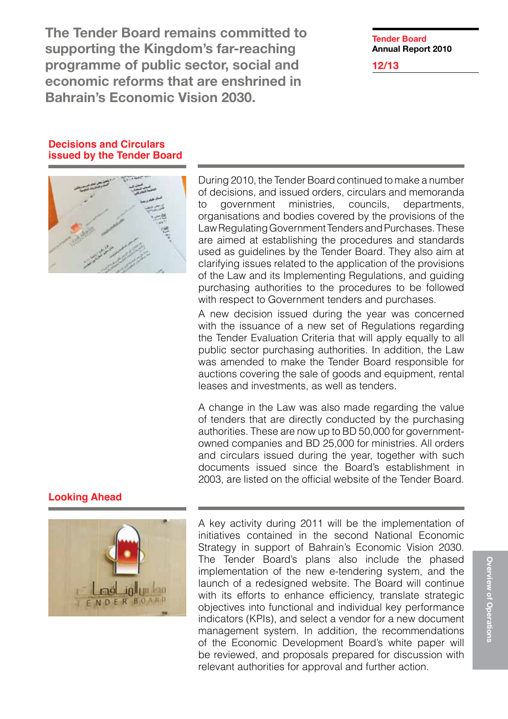The Tender Board remains committed to supporting the Kingdom's far-reaching programme of public sector, social and economic reforms that are enshrined in Bahrain's Economic Vision 2030.

## **Tender Board Annual Report 2010**

**12/13**

#### **Decisions and Circulars issued by the Tender Board**



During 2010, the Tender Board continued to make a number of decisions, and issued orders, circulars and memoranda to government ministries, councils, departments, organisations and bodies covered by the provisions of the Law Regulating Government Tenders and Purchases. These are aimed at establishing the procedures and standards used as guidelines by the Tender Board. They also aim at clarifying issues related to the application of the provisions of the Law and its Implementing Regulations, and guiding purchasing authorities to the procedures to be followed with respect to Government tenders and purchases.

A new decision issued during the year was concerned with the issuance of a new set of Regulations regarding the Tender Evaluation Criteria that will apply equally to all public sector purchasing authorities. In addition, the Law was amended to make the Tender Board responsible for auctions covering the sale of goods and equipment, rental leases and investments, as well as tenders.

A change in the Law was also made regarding the value of tenders that are directly conducted by the purchasing authorities. These are now up to BD 50,000 for governmentowned companies and BD 25,000 for ministries. All orders and circulars issued during the year, together with such documents issued since the Board's establishment in 2003, are listed on the official website of the Tender Board.

### **Looking Ahead**



A key activity during 2011 will be the implementation of initiatives contained in the second National Economic Strategy in support of Bahrain's Economic Vision 2030. The Tender Board's plans also include the phased implementation of the new e-tendering system, and the launch of a redesigned website. The Board will continue with its efforts to enhance efficiency, translate strategic objectives into functional and individual key performance indicators (KPIs), and select a vendor for a new document management system. In addition, the recommendations of the Economic Development Board's white paper will be reviewed, and proposals prepared for discussion with relevant authorities for approval and further action.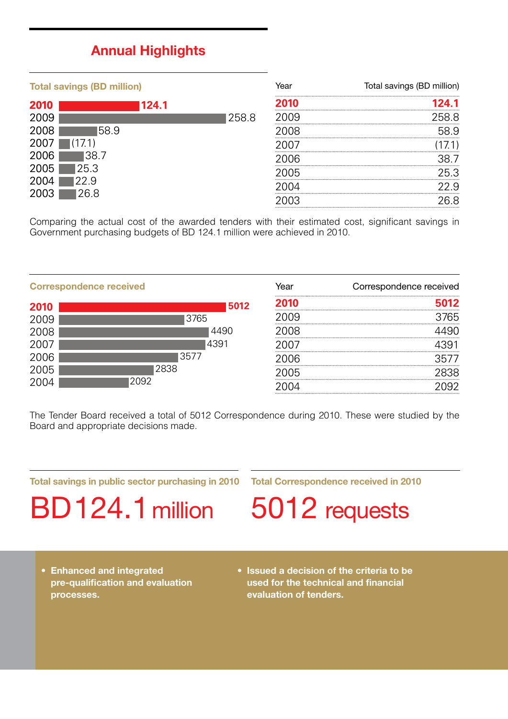## **Annual Highlights**

| <b>Total savings (BD million)</b> |       |       | Year | Total savings (BD million) |
|-----------------------------------|-------|-------|------|----------------------------|
| 2010                              | 124.1 |       |      |                            |
| 2009                              |       | 258.8 |      | 258 S                      |
| 2008                              | 58.9  |       | ገዶ   | 58.9                       |
| <b>200</b>                        |       |       |      |                            |
| 2006                              | 38 7  |       | በ6   |                            |
| 2005                              | 25.3  |       | 7ה'  | 25.3                       |
| 2004                              | 22.9  |       |      | , q                        |
| 2003                              | 26.8  |       |      | 68                         |

Comparing the actual cost of the awarded tenders with their estimated cost, significant savings in Government purchasing budgets of BD 124.1 million were achieved in 2010.

| <b>Correspondence received</b> |      | Year | Correspondence received |
|--------------------------------|------|------|-------------------------|
| 2010                           | 5012 |      |                         |
| 2009                           | 3765 |      | หร                      |
| 2008                           |      |      |                         |
| 2007                           | 4391 |      |                         |
| 2006                           | 3577 | าค   |                         |
| 2005                           | 2838 |      |                         |
| 2004                           | 2092 |      |                         |

The Tender Board received a total of 5012 Correspondence during 2010. These were studied by the Board and appropriate decisions made.

**Total savings in public sector purchasing in 2010**

**Total Correspondence received in 2010**

BD 124.1 million

5012 requests

- **• Enhanced and integrated pre-qualification and evaluation processes.**
- **• Issued a decision of the criteria to be used for the technical and financial evaluation of tenders.**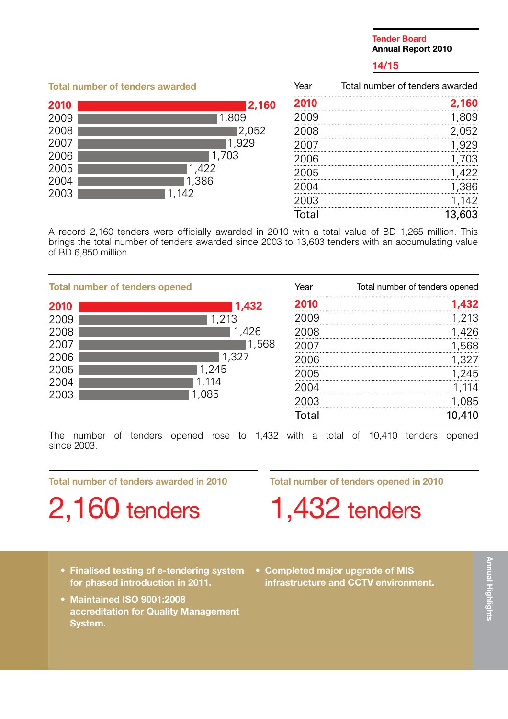#### **Tender Board Annual Report 2010**

#### **14/15**

#### **Total number of tenders awarded** Year Total number of tenders awarded **2010 2,160** 2009 1,809 2008 2,052 2007 1,929 2006 1,703 2005 1,422 2004 1,386 2003 1,142 Total 13,603 **2,160** 1,809 2,052 1,929 1,703 1,422 1,386 1,142 **2010** 2009 2008 2007 2006 2005 2004 2003

A record 2,160 tenders were officially awarded in 2010 with a total value of BD 1,265 million. This brings the total number of tenders awarded since 2003 to 13,603 tenders with an accumulating value of BD 6,850 million.

| <b>Total number of tenders opened</b>                        |                                                             | Year             | Total number of tenders opened |
|--------------------------------------------------------------|-------------------------------------------------------------|------------------|--------------------------------|
| 2010<br>2009<br>2008<br>2007<br>2006<br>2005<br>2004<br>2003 | 1,432<br>1,213<br>1,426<br>1,568<br>1,327<br>1,245<br>1.085 | 2008<br>ഥഭ<br>∖ե | 213<br>45<br>185               |
|                                                              |                                                             | Total            |                                |

The number of tenders opened rose to 1,432 with a total of 10,410 tenders opened since 2003.

**Total number of tenders awarded in 2010**

2,160 tenders

**Total number of tenders opened in 2010**

1,432 tenders

- **• Finalised testing of e-tendering system for phased introduction in 2011.**
- **• Maintained ISO 9001:2008 accreditation for Quality Management System.**
- **• Completed major upgrade of MIS infrastructure and CCTV environment.**